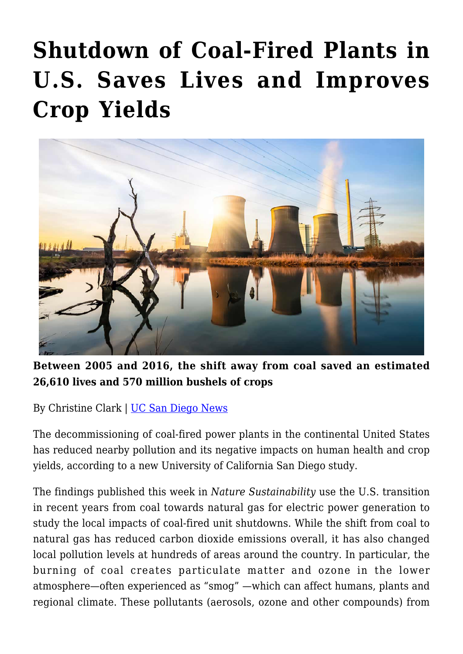## **[Shutdown of Coal-Fired Plants in](https://gpsnews.ucsd.edu/shutdown-of-coal-fired-plants-in-u-s-saves-lives-and-improves-crop-yields/) [U.S. Saves Lives and Improves](https://gpsnews.ucsd.edu/shutdown-of-coal-fired-plants-in-u-s-saves-lives-and-improves-crop-yields/) [Crop Yields](https://gpsnews.ucsd.edu/shutdown-of-coal-fired-plants-in-u-s-saves-lives-and-improves-crop-yields/)**



**Between 2005 and 2016, the shift away from coal saved an estimated 26,610 lives and 570 million bushels of crops**

By Christine Clark | [UC San Diego News](https://ucsdnews.ucsd.edu/pressrelease/shutdown-of-coal-fired-plants-in-u.s-saves-lives-and-improves-crop-yields)

The decommissioning of coal-fired power plants in the continental United States has reduced nearby pollution and its negative impacts on human health and crop yields, according to a new University of California San Diego study.

The findings published this week in *Nature Sustainability* use the U.S. transition in recent years from coal towards natural gas for electric power generation to study the local impacts of coal-fired unit shutdowns. While the shift from coal to natural gas has reduced carbon dioxide emissions overall, it has also changed local pollution levels at hundreds of areas around the country. In particular, the burning of coal creates particulate matter and ozone in the lower atmosphere—often experienced as "smog" —which can affect humans, plants and regional climate. These pollutants (aerosols, ozone and other compounds) from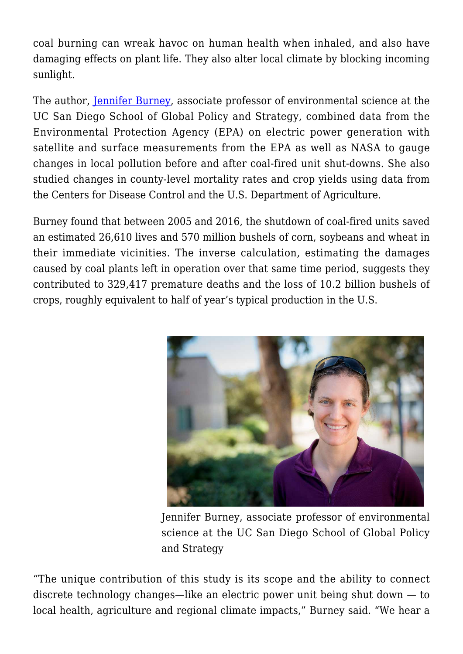coal burning can wreak havoc on human health when inhaled, and also have damaging effects on plant life. They also alter local climate by blocking incoming sunlight.

The author, [Jennifer Burney,](http://gps.ucsd.edu/faculty-directory/jennifer-burney.html) associate professor of environmental science at the UC San Diego School of Global Policy and Strategy, combined data from the Environmental Protection Agency (EPA) on electric power generation with satellite and surface measurements from the EPA as well as NASA to gauge changes in local pollution before and after coal-fired unit shut-downs. She also studied changes in county-level mortality rates and crop yields using data from the Centers for Disease Control and the U.S. Department of Agriculture.

Burney found that between 2005 and 2016, the shutdown of coal-fired units saved an estimated 26,610 lives and 570 million bushels of corn, soybeans and wheat in their immediate vicinities. The inverse calculation, estimating the damages caused by coal plants left in operation over that same time period, suggests they contributed to 329,417 premature deaths and the loss of 10.2 billion bushels of crops, roughly equivalent to half of year's typical production in the U.S.



Jennifer Burney, associate professor of environmental science at the UC San Diego School of Global Policy and Strategy

"The unique contribution of this study is its scope and the ability to connect discrete technology changes—like an electric power unit being shut down — to local health, agriculture and regional climate impacts," Burney said. "We hear a